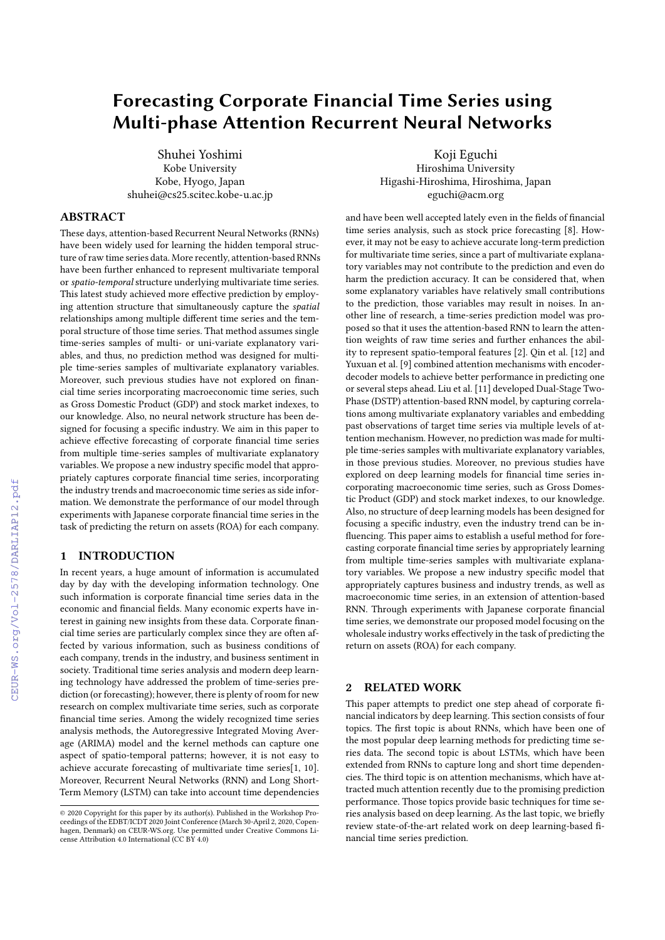# **Forecasting Corporate Financial Time Series using Multi-phase Attention Recurrent Neural Networks**

Shuhei Yoshimi Kobe University Kobe, Hyogo, Japan shuhei@cs25.scitec.kobe-u.ac.jp

# **ABSTRACT**

These days, attention-based Recurrent Neural Networks (RNNs) have been widely used for learning the hidden temporal structure of raw time series data. More recently, attention-based RNNs have been further enhanced to represent multivariate temporal or *spatio-temporal* structure underlying multivariate time series. This latest study achieved more effective prediction by employing attention structure that simultaneously capture the *spatial* relationships among multiple different time series and the temporal structure of those time series. That method assumes single time-series samples of multi- or uni-variate explanatory variables, and thus, no prediction method was designed for multiple time-series samples of multivariate explanatory variables. Moreover, such previous studies have not explored on financial time series incorporating macroeconomic time series, such as Gross Domestic Product (GDP) and stock market indexes, to our knowledge. Also, no neural network structure has been designed for focusing a specific industry. We aim in this paper to achieve effective forecasting of corporate financial time series from multiple time-series samples of multivariate explanatory variables. We propose a new industry specific model that appropriately captures corporate financial time series, incorporating the industry trends and macroeconomic time series as side information. We demonstrate the performance of our model through experiments with Japanese corporate financial time series in the task of predicting the return on assets (ROA) for each company.

# **1 INTRODUCTION**

In recent years, a huge amount of information is accumulated day by day with the developing information technology. One such information is corporate financial time series data in the economic and financial fields. Many economic experts have interest in gaining new insights from these data. Corporate financial time series are particularly complex since they are often affected by various information, such as business conditions of each company, trends in the industry, and business sentiment in society. Traditional time series analysis and modern deep learning technology have addressed the problem of time-series prediction (or forecasting); however, there is plenty of room for new research on complex multivariate time series, such as corporate financial time series. Among the widely recognized time series analysis methods, the Autoregressive Integrated Moving Average (ARIMA) model and the kernel methods can capture one aspect of spatio-temporal patterns; however, it is not easy to achieve accurate forecasting of multivariate time series[1, 10]. Moreover, Recurrent Neural Networks (RNN) and Long Short-Term Memory (LSTM) can take into account time dependencies

and have been well accepted lately even in the fields of financial time series analysis, such as stock price forecasting [8]. However, it may not be easy to achieve accurate long-term prediction for multivariate time series, since a part of multivariate explanatory variables may not contribute to the prediction and even do harm the prediction accuracy. It can be considered that, when some explanatory variables have relatively small contributions to the prediction, those variables may result in noises. In another line of research, a time-series prediction model was proposed so that it uses the attention-based RNN to learn the attention weights of raw time series and further enhances the ability to represent spatio-temporal features [2]. Qin et al. [12] and Yuxuan et al. [9] combined attention mechanisms with encoderdecoder models to achieve better performance in predicting one or several steps ahead. Liu et al. [11] developed Dual-Stage Two-Phase (DSTP) attention-based RNN model, by capturing correlations among multivariate explanatory variables and embedding past observations of target time series via multiple levels of attention mechanism. However, no prediction was made for multiple time-series samples with multivariate explanatory variables, in those previous studies. Moreover, no previous studies have explored on deep learning models for financial time series incorporating macroeconomic time series, such as Gross Domestic Product (GDP) and stock market indexes, to our knowledge. Also, no structure of deep learning models has been designed for focusing a specific industry, even the industry trend can be influencing. This paper aims to establish a useful method for forecasting corporate financial time series by appropriately learning from multiple time-series samples with multivariate explanatory variables. We propose a new industry specific model that appropriately captures business and industry trends, as well as macroeconomic time series, in an extension of attention-based RNN. Through experiments with Japanese corporate financial time series, we demonstrate our proposed model focusing on the wholesale industry works effectively in the task of predicting the return on assets (ROA) for each company.

Koji Eguchi Hiroshima University Higashi-Hiroshima, Hiroshima, Japan eguchi@acm.org

# **2 RELATED WORK**

This paper attempts to predict one step ahead of corporate financial indicators by deep learning. This section consists of four topics. The first topic is about RNNs, which have been one of the most popular deep learning methods for predicting time series data. The second topic is about LSTMs, which have been extended from RNNs to capture long and short time dependencies. The third topic is on attention mechanisms, which have attracted much attention recently due to the promising prediction performance. Those topics provide basic techniques for time series analysis based on deep learning. As the last topic, we briefly review state-of-the-art related work on deep learning-based financial time series prediction.

<sup>©</sup> 2020 Copyright for this paper by its author(s). Published in the Workshop Proceedings of the EDBT/ICDT 2020 Joint Conference (March 30-April 2, 2020, Copenhagen, Denmark) on CEUR-WS.org. Use permitted under Creative Commons License Attribution 4.0 International (CC BY 4.0)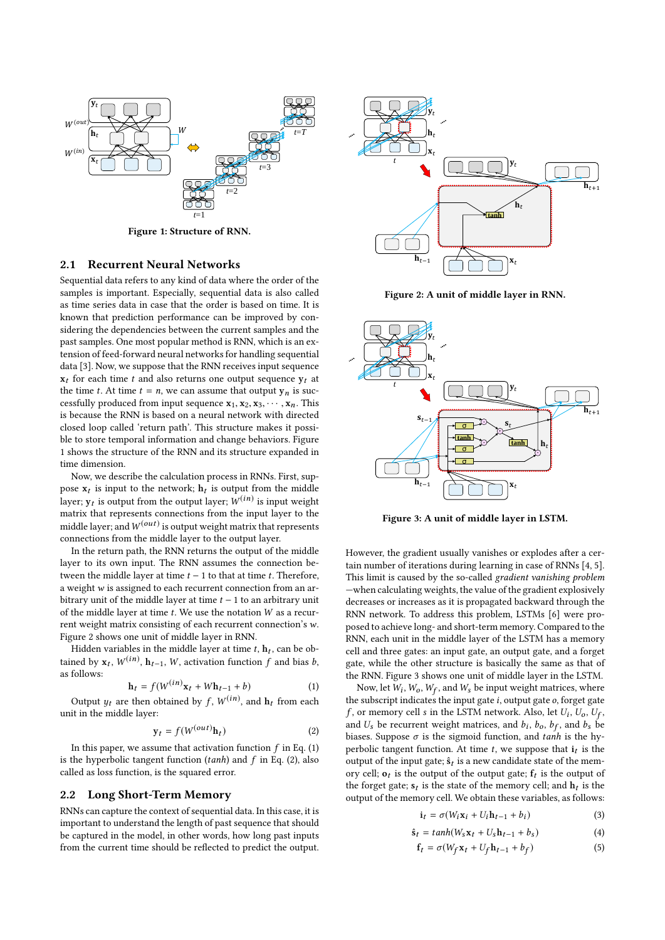

**Figure 1: Structure of RNN.**

### **2.1 Recurrent Neural Networks**

Sequential data refers to any kind of data where the order of the samples is important. Especially, sequential data is also called as time series data in case that the order is based on time. It is known that prediction performance can be improved by considering the dependencies between the current samples and the past samples. One most popular method is RNN, which is an extension of feed-forward neural networks for handling sequential data [3]. Now, we suppose that the RNN receives input sequence  $x_t$  for each time *t* and also returns one output sequence  $y_t$  at the time *t*. At time  $t = n$ , we can assume that output  $y_n$  is successfully produced from input sequence  $\mathbf{x}_1, \mathbf{x}_2, \mathbf{x}_3, \cdots, \mathbf{x}_n$ . This is because the RNN is based on a neural network with directed closed loop called 'return path'. This structure makes it possible to store temporal information and change behaviors. Figure 1 shows the structure of the RNN and its structure expanded in time dimension.

Now, we describe the calculation process in RNNs. First, suppose  $\mathbf{x}_t$  is input to the network;  $\mathbf{h}_t$  is output from the middle layer;  $\mathbf{y}_t$  is output from the output layer;  $W^{(\boldsymbol{in})}$  is input weight matrix that represents connections from the input layer to the middle layer; and  $W^{(out)}$  is output weight matrix that represents connections from the middle layer to the output layer.

In the return path, the RNN returns the output of the middle layer to its own input. The RNN assumes the connection between the middle layer at time *t* − 1 to that at time *t*. Therefore, a weight *w* is assigned to each recurrent connection from an arbitrary unit of the middle layer at time *t* − 1 to an arbitrary unit of the middle layer at time *t*. We use the notation *W* as a recurrent weight matrix consisting of each recurrent connection's *w*. Figure 2 shows one unit of middle layer in RNN.

Hidden variables in the middle layer at time *t*, **h***t* , can be obtained by  $\mathbf{x}_t$ ,  $W^{(in)}$ ,  $\mathbf{h}_{t-1}$ ,  $W$ , activation function  $f$  and bias  $b$ , as follows:

$$
\mathbf{h}_t = f(W^{(in)}\mathbf{x}_t + W\mathbf{h}_{t-1} + b) \tag{1}
$$

Output  $y_t$  are then obtained by  $f$ ,  $W^{(in)}$ , and  $h_t$  from each unit in the middle layer:

$$
\mathbf{y}_t = f(W^{(out)}\mathbf{h}_t) \tag{2}
$$

In this paper, we assume that activation function  $f$  in Eq. (1) is the hyperbolic tangent function (*tanh*) and *f* in Eq. (2), also called as loss function, is the squared error.

#### **2.2 Long Short-Term Memory**

RNNs can capture the context of sequential data. In this case, it is important to understand the length of past sequence that should be captured in the model, in other words, how long past inputs from the current time should be reflected to predict the output.



**Figure 2: A unit of middle layer in RNN.**



**Figure 3: A unit of middle layer in LSTM.**

However, the gradient usually vanishes or explodes after a certain number of iterations during learning in case of RNNs [4, 5]. This limit is caused by the so-called *gradient vanishing problem* —when calculating weights, the value of the gradient explosively decreases or increases as it is propagated backward through the RNN network. To address this problem, LSTMs [6] were proposed to achieve long- and short-term memory. Compared to the RNN, each unit in the middle layer of the LSTM has a memory cell and three gates: an input gate, an output gate, and a forget gate, while the other structure is basically the same as that of the RNN. Figure 3 shows one unit of middle layer in the LSTM.

Now, let  $W_i$ ,  $W_o$ ,  $W_f$ , and  $W_s$  be input weight matrices, where the subscript indicates the input gate *i*, output gate *o*, forget gate *f*, or memory cell *s* in the LSTM network. Also, let  $U_i$ ,  $U_o$ ,  $U_f$ , and  $U_s$  be recurrent weight matrices, and  $b_i$ ,  $b_o$ ,  $b_f$ , and  $b_s$  be biases. Suppose *σ* is the sigmoid function, and *tanh* is the hyperbolic tangent function. At time  $t$ , we suppose that  $\mathbf{i}_t$  is the output of the input gate;  $\hat{\mathbf{s}}_t$  is a new candidate state of the memory cell;  $o_t$  is the output of the output gate;  $f_t$  is the output of the forget gate;  $s_t$  is the state of the memory cell; and  $h_t$  is the output of the memory cell. We obtain these variables, as follows:

$$
\mathbf{i}_t = \sigma(W_i \mathbf{x}_i + U_i \mathbf{h}_{t-1} + b_i) \tag{3}
$$

$$
\hat{\mathbf{s}}_t = \tanh(W_s \mathbf{x}_t + U_s \mathbf{h}_{t-1} + b_s) \tag{4}
$$

$$
\mathbf{f}_t = \sigma(W_f \mathbf{x}_t + U_f \mathbf{h}_{t-1} + b_f) \tag{5}
$$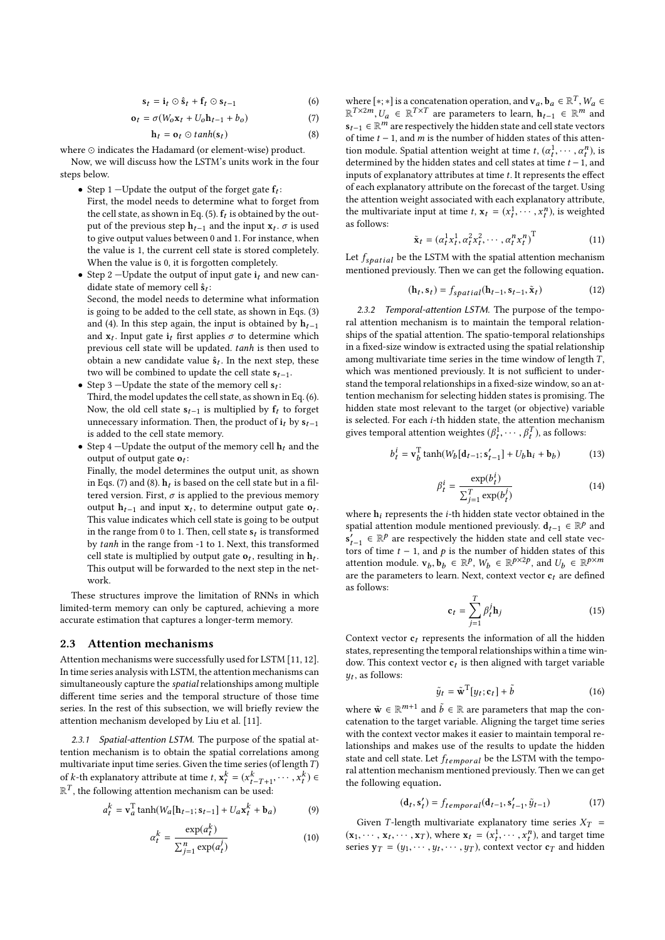$$
\mathbf{s}_t = \mathbf{i}_t \odot \hat{\mathbf{s}}_t + \mathbf{f}_t \odot \mathbf{s}_{t-1} \tag{6}
$$

$$
\mathbf{o}_t = \sigma(W_0 \mathbf{x}_t + U_0 \mathbf{h}_{t-1} + b_0) \tag{7}
$$

$$
\mathbf{h}_t = \mathbf{o}_t \odot \tanh(\mathbf{s}_t) \tag{8}
$$

where  $\odot$  indicates the Hadamard (or element-wise) product. Now, we will discuss how the LSTM's units work in the four steps below.

- Step 1 –Update the output of the forget gate  $f_t$ : First, the model needs to determine what to forget from the cell state, as shown in Eq. (5).  $\mathbf{f}_t$  is obtained by the output of the previous step **h***t*−1 and the input **x***t* . *σ* is used to give output values between 0 and 1. For instance, when the value is 1, the current cell state is stored completely. When the value is 0, it is forgotten completely.
- Step 2 —Update the output of input gate **i***<sup>t</sup>* and new candidate state of memory cell  $\hat{\mathbf{s}}_t$ : Second, the model needs to determine what information is going to be added to the cell state, as shown in Eqs. (3) and (4). In this step again, the input is obtained by  $h_{t-1}$ and  $\mathbf{x}_t$ . Input gate  $\mathbf{i}_t$  first applies  $\sigma$  to determine which previous cell state will be updated. *tanh* is then used to obtain a new candidate value **sˆ***t* . In the next step, these two will be combined to update the cell state **s***t*−1.
- Step 3 —Update the state of the memory cell  $s_t$ : Third, the model updates the cell state, as shown in Eq. (6). Now, the old cell state  $s_{t-1}$  is multiplied by  $f_t$  to forget unnecessary information. Then, the product of  $\mathbf{i}_t$  by  $\mathbf{s}_{t-1}$ is added to the cell state memory.
- Step 4 –Update the output of the memory cell  $\mathbf{h}_t$  and the output of output gate **o***t* :

Finally, the model determines the output unit, as shown in Eqs. (7) and (8).  $\mathbf{h}_t$  is based on the cell state but in a filtered version. First,  $\sigma$  is applied to the previous memory output  **and input**  $**x**<sub>t</sub>$ **, to determine output gate**  $**o**<sub>t</sub>$ **.** This value indicates which cell state is going to be output in the range from 0 to 1. Then, cell state  $\mathbf{s}_t$  is transformed by *tanh* in the range from -1 to 1. Next, this transformed cell state is multiplied by output gate  $\mathbf{o}_t$ , resulting in  $\mathbf{h}_t$ . This output will be forwarded to the next step in the network.

These structures improve the limitation of RNNs in which limited-term memory can only be captured, achieving a more accurate estimation that captures a longer-term memory.

#### **2.3 Attention mechanisms**

Attention mechanisms were successfully used for LSTM [11, 12]. In time series analysis with LSTM, the attention mechanisms can simultaneously capture the *spatial* relationships among multiple different time series and the temporal structure of those time series. In the rest of this subsection, we will briefly review the attention mechanism developed by Liu et al. [11].

*2.3.1 Spatial-attention LSTM.* The purpose of the spatial attention mechanism is to obtain the spatial correlations among multivariate input time series. Given the time series (of length*T* ) of *k*-th explanatory attribute at time  $t$ ,  $\mathbf{x}_t^k = (x_{t-T+1}^k, \dots, x_t^k) \in$  $\mathbb{R}^T$ , the following attention mechanism can be used:

$$
a_t^k = \mathbf{v}_a^{\mathrm{T}} \tanh(W_a[\mathbf{h}_{t-1}; \mathbf{s}_{t-1}] + U_a \mathbf{x}_t^k + \mathbf{b}_a)
$$
 (9)

$$
\alpha_t^k = \frac{\exp(a_t^k)}{\sum_{j=1}^n \exp(a_t^j)}
$$
(10)

where  $[*; *]$  is a concatenation operation, and  $\mathbf{v}_a, \mathbf{b}_a \in \mathbb{R}^T$ ,  $W_a \in$  $\mathbb{R}^{T\times 2m}, U_a$  ∈  $\mathbb{R}^{T\times T}$  are parameters to learn,  $\mathbf{h}_{t-1}$  ∈  $\mathbb{R}^m$  and  $\mathbf{s}_{t-1}$  ∈  $\mathbb{R}^m$  are respectively the hidden state and cell state vectors of time *t* − 1, and *m* is the number of hidden states of this attention module. Spatial attention weight at time *t*,  $(\alpha_t^1, \dots, \alpha_t^n)$ , is determined by the hidden states and cell states at time *t* −1, and inputs of explanatory attributes at time *t*. It represents the effect of each explanatory attribute on the forecast of the target. Using the attention weight associated with each explanatory attribute, the multivariate input at time *t*,  $\mathbf{x}_t = (x_t^1, \dots, x_t^n)$ , is weighted as follows:

$$
\tilde{\mathbf{x}}_t = (\alpha_t^1 x_t^1, \alpha_t^2 x_t^2, \cdots, \alpha_t^n x_t^n)^{\mathrm{T}}
$$
\n(11)

Let *fspat ial* be the LSTM with the spatial attention mechanism mentioned previously. Then we can get the following equation.

$$
(\mathbf{h}_t, \mathbf{s}_t) = f_{spatial}(\mathbf{h}_{t-1}, \mathbf{s}_{t-1}, \tilde{\mathbf{x}}_t)
$$
 (12)

*2.3.2 Temporal-attention LSTM.* The purpose of the temporal attention mechanism is to maintain the temporal relationships of the spatial attention. The spatio-temporal relationships in a fixed-size window is extracted using the spatial relationship among multivariate time series in the time window of length *T* , which was mentioned previously. It is not sufficient to understand the temporal relationships in a fixed-size window, so an attention mechanism for selecting hidden states is promising. The hidden state most relevant to the target (or objective) variable is selected. For each *i*-th hidden state, the attention mechanism gives temporal attention weightes  $(\beta_t^1, \dots, \beta_t^T)$ , as follows:

$$
b_t^i = \mathbf{v}_b^{\mathrm{T}} \tanh(W_b[\mathbf{d}_{t-1}; \mathbf{s}'_{t-1}] + U_b \mathbf{h}_i + \mathbf{b}_b)
$$
 (13)

$$
\beta_t^i = \frac{\exp(b_t^i)}{\sum_{j=1}^T \exp(b_t^j)}
$$
(14)

where **h***i* represents the *i*-th hidden state vector obtained in the spatial attention module mentioned previously.  $\mathbf{d}_{t-1} \in \mathbb{R}^p$  and  $\mathbf{s}'_{t-1}$  ∈  $\mathbb{R}^p$  are respectively the hidden state and cell state vectors of time  $t - 1$ , and  $p$  is the number of hidden states of this attention module.  $\mathbf{v}_b, \mathbf{b}_b \in \mathbb{R}^p$ ,  $W_b \in \mathbb{R}^{p \times 2p}$ , and  $U_b \in \mathbb{R}^{p \times m}$ are the parameters to learn. Next, context vector  $\mathbf{c}_t$  are defined as follows:

$$
\mathbf{c}_t = \sum_{j=1}^T \beta_t^j \mathbf{h}_j \tag{15}
$$

Context vector  $c_t$  represents the information of all the hidden states, representing the temporal relationships within a time window. This context vector  $c_t$  is then aligned with target variable *yt* , as follows:

$$
\tilde{y}_t = \tilde{\mathbf{w}}^{\mathrm{T}}[y_t; \mathbf{c}_t] + \tilde{b}
$$
\n(16)

where  $\tilde{\mathbf{w}} \in \mathbb{R}^{m+1}$  and  $\tilde{b} \in \mathbb{R}$  are parameters that map the concatenation to the target variable. Aligning the target time series with the context vector makes it easier to maintain temporal relationships and makes use of the results to update the hidden state and cell state. Let *ftempor al* be the LSTM with the temporal attention mechanism mentioned previously. Then we can get the following equation.

$$
(\mathbf{d}_t, \mathbf{s}'_t) = f_{temporal}(\mathbf{d}_{t-1}, \mathbf{s}'_{t-1}, \tilde{y}_{t-1})
$$
\n(17)

Given *T*-length multivariate explanatory time series  $X_T$  =  $(\mathbf{x}_1, \dots, \mathbf{x}_t, \dots, \mathbf{x}_T)$ , where  $\mathbf{x}_t = (x_t^1, \dots, x_t^n)$ , and target time series  $y_T = (y_1, \dots, y_t, \dots, y_T)$ , context vector  $c_T$  and hidden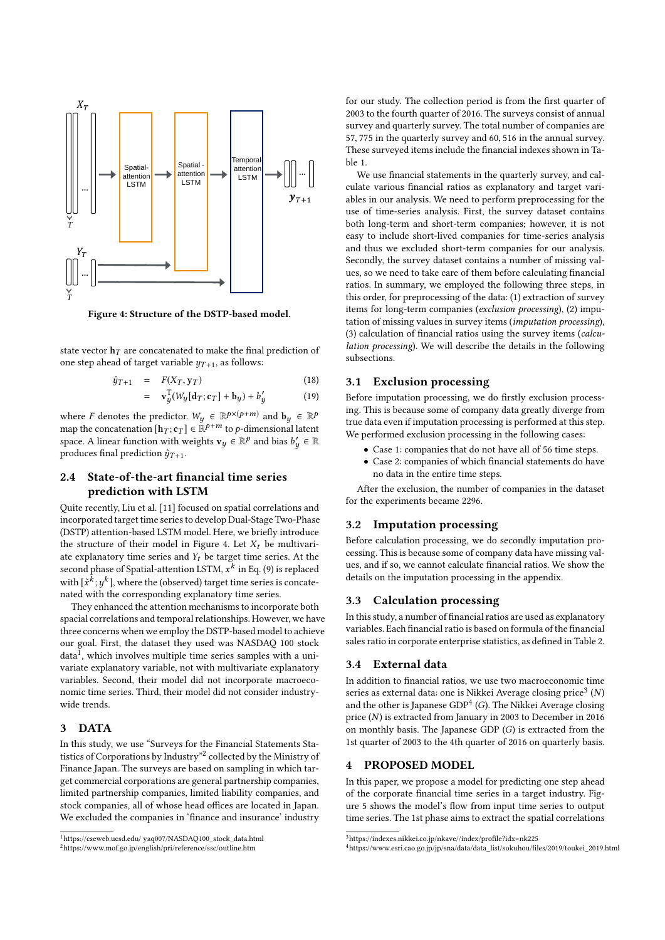

**Figure 4: Structure of the DSTP-based model.**

state vector  $\mathbf{h}_T$  are concatenated to make the final prediction of one step ahead of target variable  $y_{T+1}$ , as follows:

$$
\hat{y}_{T+1} = F(X_T, \mathbf{y}_T) \tag{18}
$$

$$
= \mathbf{v}_y^{\mathrm{T}}(W_y[\mathbf{d}_T;\mathbf{c}_T] + \mathbf{b}_y) + b_y' \tag{19}
$$

where *F* denotes the predictor.  $W_y \in \mathbb{R}^{p \times (p+m)}$  and  $\mathbf{b}_y \in \mathbb{R}^p$ map the concatenation  $[\mathbf{h}_T; \mathbf{c}_T] \in \mathbb{R}^{p+m}$  to  $p$ -dimensional latent space. A linear function with weights  $\mathbf{v}_y \in \mathbb{R}^p$  and bias  $b'_y \in \mathbb{R}$ produces final prediction  $\hat{y}_{T+1}$ .

# **2.4 State-of-the-art financial time series prediction with LSTM**

Quite recently, Liu et al. [11] focused on spatial correlations and incorporated target time series to develop Dual-Stage Two-Phase (DSTP) attention-based LSTM model. Here, we briefly introduce the structure of their model in Figure 4. Let  $X_t$  be multivariate explanatory time series and *Yt* be target time series. At the second phase of Spatial-attention LSTM, *x k* in Eq. (9) is replaced with  $[\tilde{x}^k; y^k]$ , where the (observed) target time series is concatenated with the corresponding explanatory time series.

They enhanced the attention mechanisms to incorporate both spacial correlations and temporal relationships. However, we have three concerns when we employ the DSTP-based model to achieve our goal. First, the dataset they used was NASDAQ 100 stock data<sup>1</sup>, which involves multiple time series samples with a univariate explanatory variable, not with multivariate explanatory variables. Second, their model did not incorporate macroeconomic time series. Third, their model did not consider industrywide trends.

# **3 DATA**

In this study, we use "Surveys for the Financial Statements Statistics of Corporations by Industry"<sup>2</sup> collected by the Ministry of Finance Japan. The surveys are based on sampling in which target commercial corporations are general partnership companies, limited partnership companies, limited liability companies, and stock companies, all of whose head offices are located in Japan. We excluded the companies in 'finance and insurance' industry for our study. The collection period is from the first quarter of 2003 to the fourth quarter of 2016. The surveys consist of annual survey and quarterly survey. The total number of companies are 57, 775 in the quarterly survey and 60, 516 in the annual survey. These surveyed items include the financial indexes shown in Table 1.

We use financial statements in the quarterly survey, and calculate various financial ratios as explanatory and target variables in our analysis. We need to perform preprocessing for the use of time-series analysis. First, the survey dataset contains both long-term and short-term companies; however, it is not easy to include short-lived companies for time-series analysis and thus we excluded short-term companies for our analysis. Secondly, the survey dataset contains a number of missing values, so we need to take care of them before calculating financial ratios. In summary, we employed the following three steps, in this order, for preprocessing of the data: (1) extraction of survey items for long-term companies (*exclusion processing*), (2) imputation of missing values in survey items (*imputation processing*), (3) calculation of financial ratios using the survey items (*calculation processing*). We will describe the details in the following subsections.

#### **3.1 Exclusion processing**

Before imputation processing, we do firstly exclusion processing. This is because some of company data greatly diverge from true data even if imputation processing is performed at this step. We performed exclusion processing in the following cases:

- Case 1: companies that do not have all of 56 time steps.
- Case 2: companies of which financial statements do have no data in the entire time steps.

After the exclusion, the number of companies in the dataset for the experiments became 2296.

#### **3.2 Imputation processing**

Before calculation processing, we do secondly imputation processing. This is because some of company data have missing values, and if so, we cannot calculate financial ratios. We show the details on the imputation processing in the appendix.

#### **3.3 Calculation processing**

In this study, a number of financial ratios are used as explanatory variables. Each financial ratio is based on formula of the financial sales ratio in corporate enterprise statistics, as defined in Table 2.

# **3.4 External data**

In addition to financial ratios, we use two macroeconomic time series as external data: one is Nikkei Average closing price<sup>3</sup> (N) and the other is Japanese GDP<sup>4</sup> (G). The Nikkei Average closing price (*N*) is extracted from January in 2003 to December in 2016 on monthly basis. The Japanese GDP (*G*) is extracted from the 1st quarter of 2003 to the 4th quarter of 2016 on quarterly basis.

# **4 PROPOSED MODEL**

In this paper, we propose a model for predicting one step ahead of the corporate financial time series in a target industry. Figure 5 shows the model's flow from input time series to output time series. The 1st phase aims to extract the spatial correlations

<sup>1</sup>https://cseweb.ucsd.edu/ yaq007/NASDAQ100\_stock\_data.html

<sup>2</sup>https://www.mof.go.jp/english/pri/reference/ssc/outline.htm

<sup>3</sup>https://indexes.nikkei.co.jp/nkave//index/profile?idx=nk225

<sup>4</sup>https://www.esri.cao.go.jp/jp/sna/data/data\_list/sokuhou/files/2019/toukei\_2019.html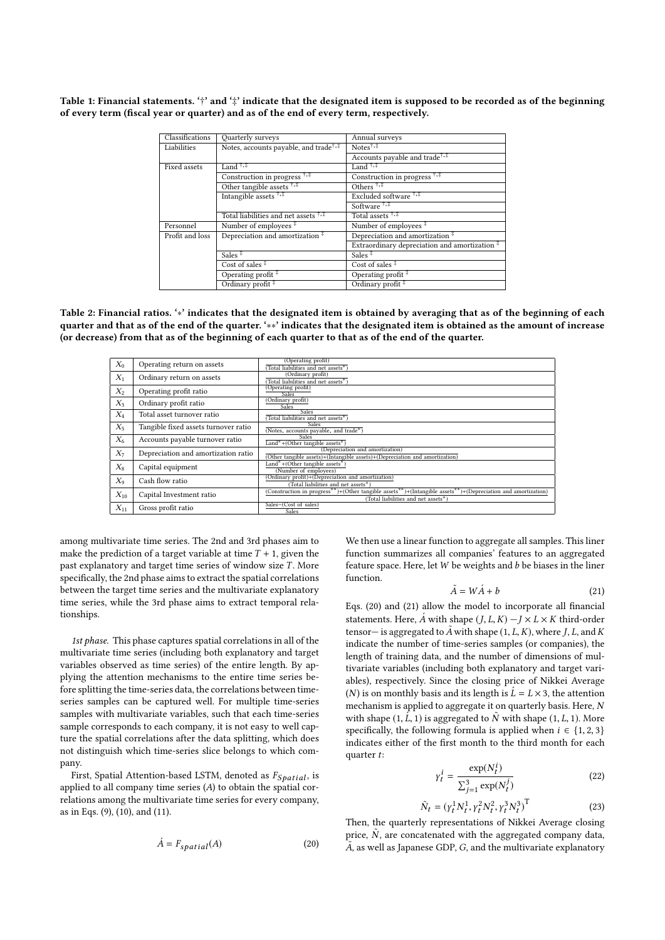**Table 1: Financial statements. '**†**' and '**‡**' indicate that the designated item is supposed to be recorded as of the beginning of every term (fiscal year or quarter) and as of the end of every term, respectively.**

| Classifications | <b>Ouarterly</b> surveys                                       | Annual surveys                                                              |  |
|-----------------|----------------------------------------------------------------|-----------------------------------------------------------------------------|--|
| Liabilities     | Notes, accounts payable, and trade <sup>†,‡</sup>              | Notes $\uparrow, \uparrow$                                                  |  |
|                 |                                                                | Accounts payable and trade <sup>7,‡</sup>                                   |  |
| Fixed assets    | Land $^{\dagger,\ddagger}$                                     | Land $^{\dagger,\ddagger}$                                                  |  |
|                 | Construction in progress <sup>†,‡</sup>                        | Construction in progress <sup>7,‡</sup>                                     |  |
|                 | Other tangible assets $\frac{1}{1+\frac{1}{2}}$                | Others $\overline{$ <sup><math>\dagger</math>,<math>\overline{</math></sup> |  |
|                 | Intangible assets 1,#                                          | Excluded software <sup>†,‡</sup>                                            |  |
|                 |                                                                | Software <sup>†,‡</sup>                                                     |  |
|                 | Total liabilities and net assets $\frac{1}{1}$ , $\frac{1}{2}$ | Total assets <sup>†,‡</sup>                                                 |  |
| Personnel       | Number of employees $*$                                        | Number of employees <sup>#</sup>                                            |  |
| Profit and loss | Depreciation and amortization <sup>‡</sup>                     | Depreciation and amortization <sup>#</sup>                                  |  |
|                 |                                                                | Extraordinary depreciation and amortization <sup>#</sup>                    |  |
|                 | Sales $\overline{ }$                                           | Sales $\frac{1}{x}$                                                         |  |
|                 | Cost of sales $\frac{1}{x}$                                    | Cost of sales $*$                                                           |  |
|                 | Operating profit <sup>#</sup>                                  | Operating profit <sup>#</sup>                                               |  |
|                 | Ordinary profit $*$                                            | Ordinary profit <sup>#</sup>                                                |  |

**Table 2: Financial ratios. '**∗**' indicates that the designated item is obtained by averaging that as of the beginning of each quarter and that as of the end of the quarter. '**∗∗**' indicates that the designated item is obtained as the amount of increase (or decrease) from that as of the beginning of each quarter to that as of the end of the quarter.**

| $X_0$    | Operating return on assets           | (Operating profit)<br>(Total liabilities and net assets*)                                                                                           |
|----------|--------------------------------------|-----------------------------------------------------------------------------------------------------------------------------------------------------|
| $X_1$    | Ordinary return on assets            | (Ordinary profit)<br>Total liabilities and net assets*)                                                                                             |
| $X_2$    | Operating profit ratio               | (Operating profit)<br><b>Sales</b>                                                                                                                  |
| $X_3$    | Ordinary profit ratio                | (Ordinary profit)<br><b>Sales</b>                                                                                                                   |
| $X_4$    | Total asset turnover ratio           | <b>Sales</b><br>(Total liabilities and net assets*)                                                                                                 |
| $X_5$    | Tangible fixed assets turnover ratio | <b>Sales</b><br>(Notes, accounts payable, and trade*)                                                                                               |
| $X_6$    | Accounts payable turnover ratio      | <b>Sales</b><br>Land*+(Other tangible assets*)                                                                                                      |
| $X_7$    | Depreciation and amortization ratio  | (Depreciation and amortization)<br>(Other tangible assets)+(Intangible assets)+(Depreciation and amortization)                                      |
| $X_8$    | Capital equipment                    | Land*+(Other tangible assets*)<br>(Number of employees)                                                                                             |
| $X_9$    | Cash flow ratio                      | (Ordinary profit)+(Depreciation and amortization)<br>(Total liabilities and net assets*)                                                            |
| $X_{10}$ | Capital Investment ratio             | (Construction in progress**)+(Other tangible assets**)+(Intangible assets**)+(Depreciation and amortization)<br>(Total liabilities and net assets*) |
| $X_{11}$ | Gross profit ratio                   | Sales-(Cost of sales)<br>Sales                                                                                                                      |

among multivariate time series. The 2nd and 3rd phases aim to make the prediction of a target variable at time  $T + 1$ , given the past explanatory and target time series of window size *T* . More specifically, the 2nd phase aims to extract the spatial correlations between the target time series and the multivariate explanatory time series, while the 3rd phase aims to extract temporal relationships.

*1st phase.* This phase captures spatial correlations in all of the multivariate time series (including both explanatory and target variables observed as time series) of the entire length. By applying the attention mechanisms to the entire time series before splitting the time-series data, the correlations between timeseries samples can be captured well. For multiple time-series samples with multivariate variables, such that each time-series sample corresponds to each company, it is not easy to well capture the spatial correlations after the data splitting, which does not distinguish which time-series slice belongs to which company.

First, Spatial Attention-based LSTM, denoted as  $F_{Spatial}$ , is applied to all company time series (*A*) to obtain the spatial correlations among the multivariate time series for every company, as in Eqs. (9), (10), and (11).

$$
\acute{A} = F_{spatial}(A) \tag{20}
$$

We then use a linear function to aggregate all samples. This liner function summarizes all companies' features to an aggregated feature space. Here, let*W* be weights and *b* be biases in the liner function.

$$
\tilde{A} = W\acute{A} + b \tag{21}
$$

Eqs. (20) and (21) allow the model to incorporate all financial statements. Here,  $\vec{A}$  with shape  $(I, L, K) - I \times L \times K$  third-order tensor— is aggregated to  $\tilde{A}$  with shape  $(1, L, K)$ , where  $J, L$ , and  $K$ indicate the number of time-series samples (or companies), the length of training data, and the number of dimensions of multivariate variables (including both explanatory and target variables), respectively. Since the closing price of Nikkei Average (*N*) is on monthly basis and its length is  $\acute{L} = L \times 3$ , the attention mechanism is applied to aggregate it on quarterly basis. Here, *N* with shape  $(1, \hat{L}, 1)$  is aggregated to  $\tilde{N}$  with shape  $(1, L, 1)$ . More specifically, the following formula is applied when  $i \in \{1, 2, 3\}$ indicates either of the first month to the third month for each quarter *t*:

$$
\gamma_t^i = \frac{\exp(N_t^i)}{\sum_{j=1}^3 \exp(N_t^j)}
$$
(22)

$$
\tilde{N}_t = (y_t^1 N_t^1, y_t^2 N_t^2, y_t^3 N_t^3)^{\mathrm{T}}
$$
\n(23)

Then, the quarterly representations of Nikkei Average closing price,  $\tilde{N}$ , are concatenated with the aggregated company data,  $\tilde{A}$  as well as Japanese GDP,  $G,$  and the multivariate explanatory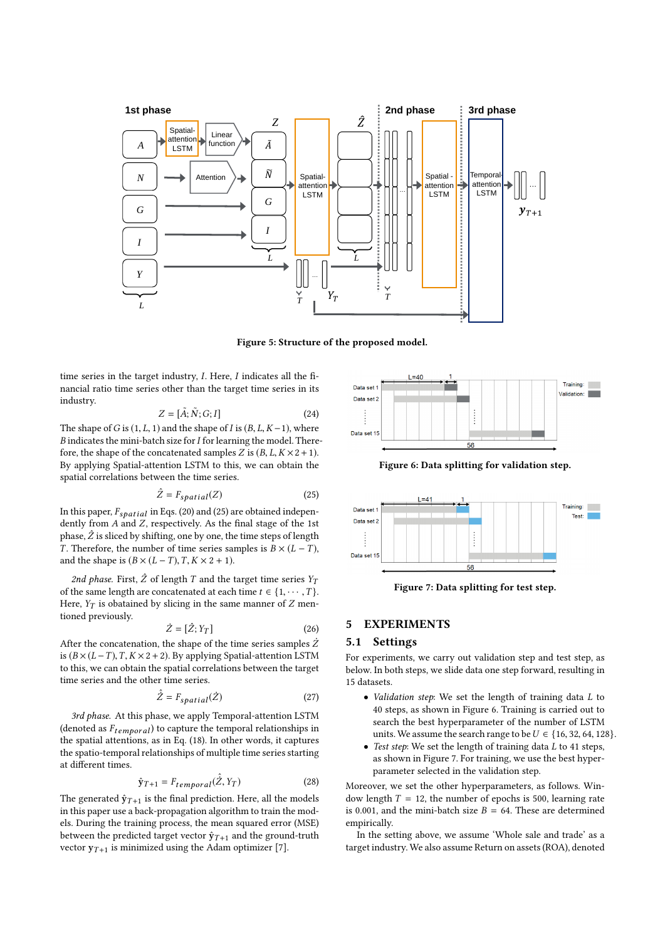

**Figure 5: Structure of the proposed model.**

time series in the target industry, *I*. Here, *I* indicates all the financial ratio time series other than the target time series in its industry.

$$
Z = [\tilde{A}; \tilde{N}; G; I] \tag{24}
$$

The shape of *G* is  $(1, L, 1)$  and the shape of *I* is  $(B, L, K - 1)$ , where *B* indicates the mini-batch size for*I* for learning the model. Therefore, the shape of the concatenated samples *Z* is  $(B, L, K \times 2 + 1)$ . By applying Spatial-attention LSTM to this, we can obtain the spatial correlations between the time series.

$$
\hat{Z} = F_{spatial}(Z) \tag{25}
$$

In this paper,  $F_{spatial}$  in Eqs. (20) and (25) are obtained independently from  $A$  and  $Z$ , respectively. As the final stage of the 1st phase,  $\hat{Z}$  is sliced by shifting, one by one, the time steps of length *T*. Therefore, the number of time series samples is  $B \times (L - T)$ , and the shape is  $(B \times (L - T), T, K \times 2 + 1)$ .

*2nd phase.* First,  $\hat{Z}$  of length  $T$  and the target time series  $Y_T$ of the same length are concatenated at each time  $t \in \{1, \dots, T\}$ . Here,  $Y_T$  is obatained by slicing in the same manner of  $Z$  mentioned previously.

$$
\dot{Z} = [\hat{Z}; Y_T] \tag{26}
$$

After the concatenation, the shape of the time series samples  $\dot{Z}$ is (*B* × (*L* −*T* ),*T*,*K* ×2+2). By applying Spatial-attention LSTM to this, we can obtain the spatial correlations between the target time series and the other time series.

$$
\hat{\dot{Z}} = F_{spatial}(\dot{Z})
$$
\n(27)

*3rd phase.* At this phase, we apply Temporal-attention LSTM (denoted as *Ftempor al*) to capture the temporal relationships in the spatial attentions, as in Eq. (18). In other words, it captures the spatio-temporal relationships of multiple time series starting at different times.

$$
\hat{\mathbf{y}}_{T+1} = F_{temporal}(\hat{Z}, Y_T) \tag{28}
$$

The generated  $\hat{y}_{T+1}$  is the final prediction. Here, all the models in this paper use a back-propagation algorithm to train the models. During the training process, the mean squared error (MSE) between the predicted target vector  $\hat{y}_{T+1}$  and the ground-truth vector  $y_{T+1}$  is minimized using the Adam optimizer [7].



**Figure 6: Data splitting for validation step.**



**Figure 7: Data splitting for test step.**

# **5 EXPERIMENTS**

### **5.1 Settings**

For experiments, we carry out validation step and test step, as below. In both steps, we slide data one step forward, resulting in 15 datasets.

- *Validation step*: We set the length of training data *L* to 40 steps, as shown in Figure 6. Training is carried out to search the best hyperparameter of the number of LSTM units. We assume the search range to be  $U \in \{16, 32, 64, 128\}$ .
- *Test step*: We set the length of training data *L* to 41 steps, as shown in Figure 7. For training, we use the best hyperparameter selected in the validation step.

Moreover, we set the other hyperparameters, as follows. Window length  $T = 12$ , the number of epochs is 500, learning rate is 0.001, and the mini-batch size  $B = 64$ . These are determined empirically.

In the setting above, we assume 'Whole sale and trade' as a target industry. We also assume Return on assets (ROA), denoted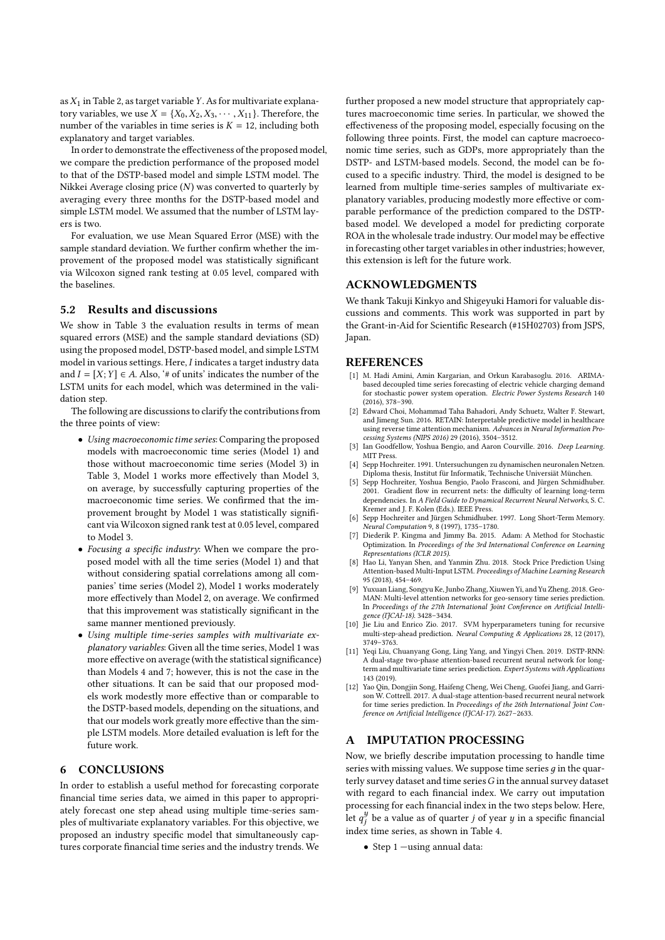as*X*1 in Table 2, as target variable*Y*. As for multivariate explanatory variables, we use *X* = { $X_0, X_2, X_3, \cdots, X_{11}$ }. Therefore, the number of the variables in time series is  $K = 12$ , including both explanatory and target variables.

In order to demonstrate the effectiveness of the proposed model, we compare the prediction performance of the proposed model to that of the DSTP-based model and simple LSTM model. The Nikkei Average closing price (*N*) was converted to quarterly by averaging every three months for the DSTP-based model and simple LSTM model. We assumed that the number of LSTM layers is two.

For evaluation, we use Mean Squared Error (MSE) with the sample standard deviation. We further confirm whether the improvement of the proposed model was statistically significant via Wilcoxon signed rank testing at 0.05 level, compared with the baselines.

#### **5.2 Results and discussions**

We show in Table 3 the evaluation results in terms of mean squared errors (MSE) and the sample standard deviations (SD) using the proposed model, DSTP-based model, and simple LSTM model in various settings. Here, *I* indicates a target industry data and  $I = [X; Y] \in A$ . Also, '# of units' indicates the number of the LSTM units for each model, which was determined in the validation step.

The following are discussions to clarify the contributions from the three points of view:

- *Using macroeconomic time series*: Comparing the proposed models with macroeconomic time series (Model 1) and those without macroeconomic time series (Model 3) in Table 3, Model 1 works more effectively than Model 3, on average, by successfully capturing properties of the macroeconomic time series. We confirmed that the improvement brought by Model 1 was statistically significant via Wilcoxon signed rank test at 0.05 level, compared to Model 3.
- *Focusing a specific industry*: When we compare the proposed model with all the time series (Model 1) and that without considering spatial correlations among all companies' time series (Model 2), Model 1 works moderately more effectively than Model 2, on average. We confirmed that this improvement was statistically significant in the same manner mentioned previously.
- *Using multiple time-series samples with multivariate explanatory variables*: Given all the time series, Model 1 was more effective on average (with the statistical significance) than Models 4 and 7; however, this is not the case in the other situations. It can be said that our proposed models work modestly more effective than or comparable to the DSTP-based models, depending on the situations, and that our models work greatly more effective than the simple LSTM models. More detailed evaluation is left for the future work.

# **6 CONCLUSIONS**

In order to establish a useful method for forecasting corporate financial time series data, we aimed in this paper to appropriately forecast one step ahead using multiple time-series samples of multivariate explanatory variables. For this objective, we proposed an industry specific model that simultaneously captures corporate financial time series and the industry trends. We further proposed a new model structure that appropriately captures macroeconomic time series. In particular, we showed the effectiveness of the proposing model, especially focusing on the following three points. First, the model can capture macroeconomic time series, such as GDPs, more appropriately than the DSTP- and LSTM-based models. Second, the model can be focused to a specific industry. Third, the model is designed to be learned from multiple time-series samples of multivariate explanatory variables, producing modestly more effective or comparable performance of the prediction compared to the DSTPbased model. We developed a model for predicting corporate ROA in the wholesale trade industry. Our model may be effective in forecasting other target variables in other industries; however, this extension is left for the future work.

#### **ACKNOWLEDGMENTS**

We thank Takuji Kinkyo and Shigeyuki Hamori for valuable discussions and comments. This work was supported in part by the Grant-in-Aid for Scientific Research (#15H02703) from JSPS, Japan.

# **REFERENCES**

- [1] M. Hadi Amini, Amin Kargarian, and Orkun Karabasoglu. 2016. ARIMAbased decoupled time series forecasting of electric vehicle charging demand for stochastic power system operation. *Electric Power Systems Research* 140 (2016), 378–390.
- [2] Edward Choi, Mohammad Taha Bahadori, Andy Schuetz, Walter F. Stewart, and Jimeng Sun. 2016. RETAIN: Interpretable predictive model in healthcare using reverse time attention mechanism. *Advances in Neural Information Processing Systems (NIPS 2016)* 29 (2016), 3504–3512.
- [3] Ian Goodfellow, Yoshua Bengio, and Aaron Courville. 2016. *Deep Learning*. MIT Press.
- [4] Sepp Hochreiter. 1991. Untersuchungen zu dynamischen neuronalen Netzen. Diploma thesis, Institut für Informatik, Technische Universiät München.
- [5] Sepp Hochreiter, Yoshua Bengio, Paolo Frasconi, and Jürgen Schmidhuber. 2001. Gradient flow in recurrent nets: the difficulty of learning long-term dependencies. In *A Field Guide to Dynamical Recurrent Neural Networks*, S. C. Kremer and J. F. Kolen (Eds.). IEEE Press.
- [6] Sepp Hochreiter and Jürgen Schmidhuber. 1997. Long Short-Term Memory. *Neural Computation* 9, 8 (1997), 1735–1780.
- [7] Diederik P. Kingma and Jimmy Ba. 2015. Adam: A Method for Stochastic Optimization. In *Proceedings of the 3rd International Conference on Learning Representations (ICLR 2015)*.
- [8] Hao Li, Yanyan Shen, and Yanmin Zhu. 2018. Stock Price Prediction Using Attention-based Multi-Input LSTM. *Proceedings of Machine Learning Research* 95 (2018), 454–469.
- [9] Yuxuan Liang, Songyu Ke, Junbo Zhang, Xiuwen Yi, and Yu Zheng. 2018. Geo-MAN: Multi-level attention networks for geo-sensory time series prediction. In *Proceedings of the 27th International Joint Conference on Artificial Intelligence (IJCAI-18)*. 3428–3434. [10] Jie Liu and Enrico Zio. 2017. SVM hyperparameters tuning for recursive
- multi-step-ahead prediction. *Neural Computing & Applications* 28, 12 (2017), 3749–3763.
- [11] Yeqi Liu, Chuanyang Gong, Ling Yang, and Yingyi Chen. 2019. DSTP-RNN: A dual-stage two-phase attention-based recurrent neural network for longterm and multivariate time series prediction. *Expert Systems with Applications* 143 (2019).
- [12] Yao Qin, Dongjin Song, Haifeng Cheng, Wei Cheng, Guofei Jiang, and Garrison W. Cottrell. 2017. A dual-stage attention-based recurrent neural network for time series prediction. In *Proceedings of the 26th International Joint Conference on Artificial Intelligence (IJCAI-17)*. 2627–2633.

# **A IMPUTATION PROCESSING**

Now, we briefly describe imputation processing to handle time series with missing values. We suppose time series *д* in the quarterly survey dataset and time series*G* in the annual survey dataset with regard to each financial index. We carry out imputation processing for each financial index in the two steps below. Here, let  $q_i^y$  $j$ <sup>9</sup>) be a value as of quarter *j* of year *y* in a specific financial index time series, as shown in Table 4.

• Step 1 —using annual data: